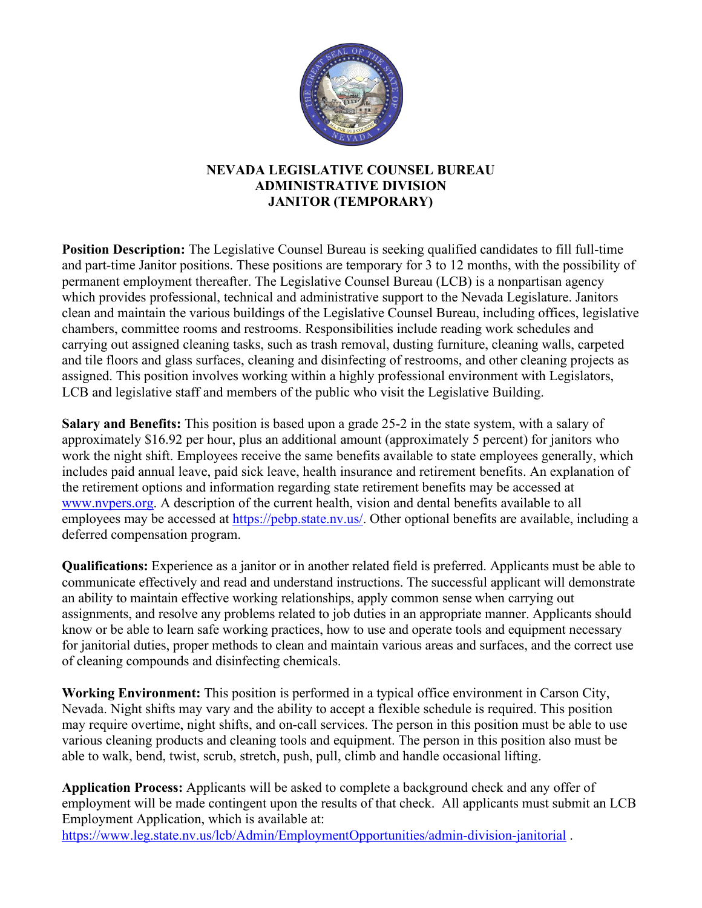

## **NEVADA LEGISLATIVE COUNSEL BUREAU ADMINISTRATIVE DIVISION JANITOR (TEMPORARY)**

**Position Description:** The Legislative Counsel Bureau is seeking qualified candidates to fill full-time and part-time Janitor positions. These positions are temporary for 3 to 12 months, with the possibility of permanent employment thereafter. The Legislative Counsel Bureau (LCB) is a nonpartisan agency which provides professional, technical and administrative support to the Nevada Legislature. Janitors clean and maintain the various buildings of the Legislative Counsel Bureau, including offices, legislative chambers, committee rooms and restrooms. Responsibilities include reading work schedules and carrying out assigned cleaning tasks, such as trash removal, dusting furniture, cleaning walls, carpeted and tile floors and glass surfaces, cleaning and disinfecting of restrooms, and other cleaning projects as assigned. This position involves working within a highly professional environment with Legislators, LCB and legislative staff and members of the public who visit the Legislative Building.

**Salary and Benefits:** This position is based upon a grade 25-2 in the state system, with a salary of approximately \$16.92 per hour, plus an additional amount (approximately 5 percent) for janitors who work the night shift. Employees receive the same benefits available to state employees generally, which includes paid annual leave, paid sick leave, health insurance and retirement benefits. An explanation of the retirement options and information regarding state retirement benefits may be accessed at [www.nvpers.org.](http://www.nvpers.org/) A description of the current health, vision and dental benefits available to all employees may be accessed at [https://pebp.state.nv.us/.](https://pebp.state.nv.us/) Other optional benefits are available, including a deferred compensation program.

**Qualifications:** Experience as a janitor or in another related field is preferred. Applicants must be able to communicate effectively and read and understand instructions. The successful applicant will demonstrate an ability to maintain effective working relationships, apply common sense when carrying out assignments, and resolve any problems related to job duties in an appropriate manner. Applicants should know or be able to learn safe working practices, how to use and operate tools and equipment necessary for janitorial duties, proper methods to clean and maintain various areas and surfaces, and the correct use of cleaning compounds and disinfecting chemicals.

**Working Environment:** This position is performed in a typical office environment in Carson City, Nevada. Night shifts may vary and the ability to accept a flexible schedule is required. This position may require overtime, night shifts, and on-call services. The person in this position must be able to use various cleaning products and cleaning tools and equipment. The person in this position also must be able to walk, bend, twist, scrub, stretch, push, pull, climb and handle occasional lifting.

**Application Process:** Applicants will be asked to complete a background check and any offer of employment will be made contingent upon the results of that check. All applicants must submit an LCB Employment Application, which is available at: <https://www.leg.state.nv.us/lcb/Admin/EmploymentOpportunities/admin-division-janitorial>.